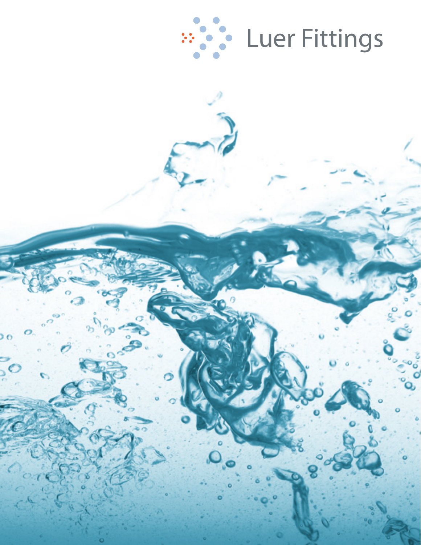

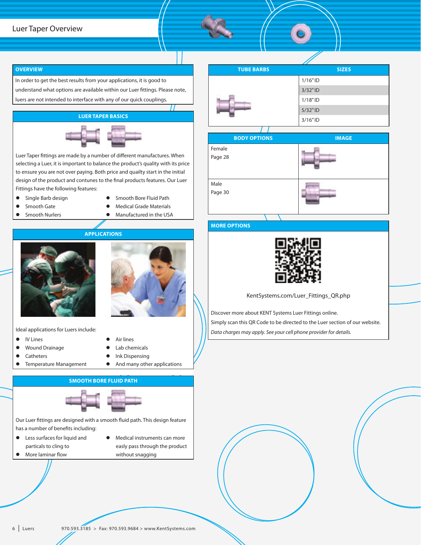#### **OVERVIEW**

In order to get the best results from your applications, it is good to understand what options are available within our Luer fittings. Please note, luers are not intended to interface with any of our quick couplings.

#### **LUER TAPER BASICS**



Luer Taper fittings are made by a number of different manufactures. When selecting a Luer, it is important to balance the product's quality with its price to ensure you are not over paying. Both price and quailty start in the initial design of the product and contunes to the final products features. Our Luer Fittings have the following features:

- **•** Single Barb design
- **•** Smooth Bore Fluid Path
- **•** Smooth Gate
- Smooth Nurlers
- **Medical Grade Materials**
- **•** Manufactured in the USA





**•** Temperature Management

- $\bullet$  IV Lines
- **•** Wound Drainage **Catheters**
- Air lines Lab chemicals
- 
- Ink Dispensing **•** And many other applications
- 

**SMOOTH BORE FLUID PATH**

Our Luer fittings are designed with a smooth fluid path. This design feature has a number of benefits including:

- **e** Less surfaces for liquid and particals to cling to
- $\bullet$  More laminar flow
- Medical instruments can more easly pass through the product without snagging





### **MORE OPTIONS**



KentSystems.com/Luer\_Fittings\_QR.php

Discover more about KENT Systems Luer Fittings online. Simply scan this QR Code to be directed to the Luer section of our website. *Data charges may apply. See your cell phone provider for details.*

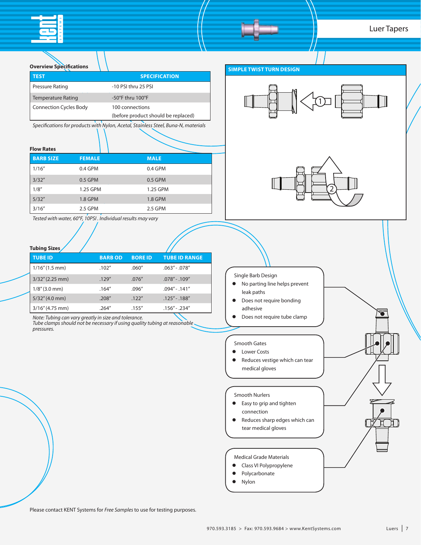# Luer Tapers

| <b>Overview Specifications</b> |                                                                            |                     |                                                                                    |
|--------------------------------|----------------------------------------------------------------------------|---------------------|------------------------------------------------------------------------------------|
| <b>TEST</b>                    |                                                                            |                     | <b>SPECIFICATION</b>                                                               |
| <b>Pressure Rating</b>         |                                                                            | -10 PSI thru 25 PSI |                                                                                    |
| <b>Temperature Rating</b>      |                                                                            | -50°F thru 100°F    |                                                                                    |
| <b>Connection Cycles Body</b>  |                                                                            | 100 connections     |                                                                                    |
|                                |                                                                            |                     | (before product should be replaced)                                                |
|                                |                                                                            |                     | Specifications for products with Nylon, Acetal, Stainless Steel, Buna-N, materials |
|                                |                                                                            |                     |                                                                                    |
| <b>Flow Rates</b>              |                                                                            |                     |                                                                                    |
| <b>BARB SIZE</b>               | <b>FEMALE</b>                                                              | <b>MALE</b>         |                                                                                    |
| 1/16''                         | 0.4 GPM                                                                    | 0.4 GPM             |                                                                                    |
| 3/32''                         | 0.5 GPM                                                                    | 0.5 GPM             |                                                                                    |
| 1/8''                          | 1.25 GPM                                                                   |                     | 1.25 GPM                                                                           |
| 5/32''                         | 1.8 GPM                                                                    | 1.8 GPM             |                                                                                    |
| 3/16''                         | 2.5 GPM                                                                    | 2.5 GPM             |                                                                                    |
|                                | Tested with water, 60°F, 10PSI, Individual results may vary                |                     |                                                                                    |
|                                |                                                                            |                     |                                                                                    |
|                                |                                                                            |                     |                                                                                    |
| <b>Tubing Sizes</b>            |                                                                            |                     |                                                                                    |
| <b>TUBE ID</b>                 | <b>BARBOD</b>                                                              | <b>BORE ID</b>      | <b>TUBE ID RANGE</b>                                                               |
| $1/16''(1.5$ mm)               | .102''                                                                     | .060''              | $.063'' - .078''$                                                                  |
| 3/32" (2.25 mm)                | .129''                                                                     | .076''              | $.078'' - .109''$                                                                  |
| $1/8''$ (3.0 mm)               | .164''                                                                     | .096"               | $.094'' - .141''$                                                                  |
| 5/32" (4.0 mm)                 | .208''                                                                     | .122''              | $.125'' - .188''$                                                                  |
| 3/16" (4.75 mm)                | .264''                                                                     | .155''              | .156" - .234"                                                                      |
|                                | Note: Tubing can vary greatly in size and tolerance.                       |                     |                                                                                    |
| pressures.                     | Tube clamps should not be necessary if using quality tubing at reasonable. |                     |                                                                                    |
|                                |                                                                            |                     |                                                                                    |
|                                |                                                                            |                     |                                                                                    |
|                                |                                                                            |                     |                                                                                    |
|                                |                                                                            |                     |                                                                                    |
|                                |                                                                            |                     |                                                                                    |
|                                |                                                                            |                     |                                                                                    |
|                                |                                                                            |                     |                                                                                    |
|                                |                                                                            |                     |                                                                                    |
|                                |                                                                            |                     |                                                                                    |
|                                |                                                                            |                     |                                                                                    |
|                                |                                                                            |                     |                                                                                    |
|                                |                                                                            |                     |                                                                                    |
|                                |                                                                            |                     |                                                                                    |
|                                |                                                                            |                     |                                                                                    |
|                                |                                                                            |                     |                                                                                    |
|                                |                                                                            |                     |                                                                                    |
|                                |                                                                            |                     |                                                                                    |
|                                |                                                                            |                     |                                                                                    |
|                                |                                                                            |                     |                                                                                    |

Please contact KENT Systems for *Free Samples* to use for testing purposes.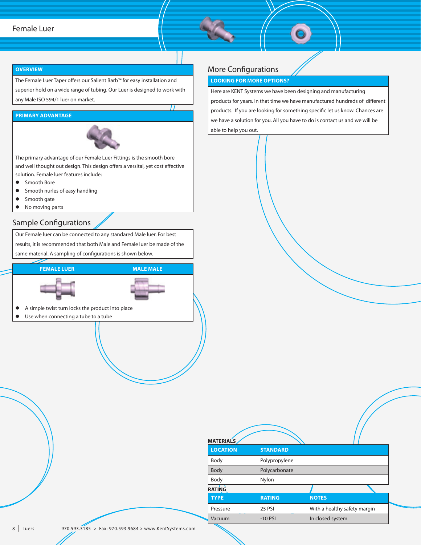## Female Luer

#### **OVERVIEW**

The Female Luer Taper offers our Salient Barb™ for easy installation and superior hold on a wide range of tubing. Our Luer is designed to work with any Male ISO 594/1 luer on market.

#### **PRIMARY ADVANTAGE**



The primary advantage of our Female Luer Fittings is the smooth bore and well thought out design. This design offers a versital, yet cost effective solution. Female luer features include:

- **•** Smooth Bore
- $\bullet$  Smooth nurles of easy handling
- **•** Smooth gate
- No moving parts

## Sample Configurations

Our Female luer can be connected to any standared Male luer. For best results, it is recommended that both Male and Female luer be made of the same material. A sampling of configurations is shown below.



## More Configurations

#### **LOOKING FOR MORE OPTIONS?**

Here are KENT Systems we have been designing and manufacturing products for years. In that time we have manufactured hundreds of different products. If you are looking for something specific let us know. Chances are we have a solution for you. All you have to do is contact us and we will be able to help you out.

| <b>MATERIALS</b> |                 |                              |
|------------------|-----------------|------------------------------|
| <b>LOCATION</b>  | <b>STANDARD</b> |                              |
| Body             | Polypropylene   |                              |
| Body             | Polycarbonate   |                              |
| Body             | Nylon           |                              |
| RATING           |                 |                              |
| <b>TYPE</b>      | <b>RATING</b>   | <b>NOTES</b>                 |
| Pressure         | <b>25 PSI</b>   | With a healthy safety margin |
| Vacuum           | $-10$ PSI       | In closed system             |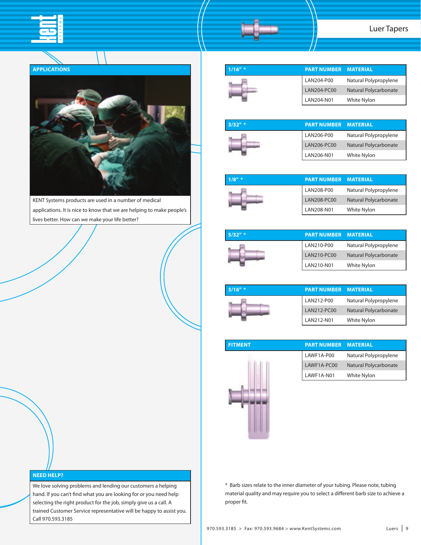

#### **APPLICATIONS**



KENT Systems products are used in a number of medical applications. It is nice to know that we are helping to make people's lives better. How can we make your life better?



| $3/32''$ * | <b>PART NUMBER MATERIAL</b> |                       |
|------------|-----------------------------|-----------------------|
|            | LAN206-P00                  | Natural Polypropylene |
|            | LAN206-PC00                 | Natural Polycarbonate |
|            | LAN206-N01                  | White Nylon           |

| $1/8''$ * | <b>PART NUMBER MATERIAL</b> |                       |
|-----------|-----------------------------|-----------------------|
|           | LAN208-P00                  | Natural Polypropylene |
|           | LAN208-PC00                 | Natural Polycarbonate |
|           | LAN208-N01                  | <b>White Nylon</b>    |

| $5/32''$ * | <b>PART NUMBER MATERIAL</b> |                       |
|------------|-----------------------------|-----------------------|
|            | LAN210-P00                  | Natural Polypropylene |
|            | LAN210-PC00                 | Natural Polycarbonate |
|            | LAN210-N01                  | <b>White Nylon</b>    |

| $3/16''$ * | <b>PART NUMBER MATERIAL</b> |                       |
|------------|-----------------------------|-----------------------|
|            | LAN212-P00                  | Natural Polypropylene |
|            | LAN212-PC00                 | Natural Polycarbonate |
|            | LAN212-N01                  | White Nylon           |

| Natural Polypropylene |
|-----------------------|
|                       |
| Natural Polycarbonate |
| White Nylon           |
|                       |

\* Barb sizes relate to the inner diameter of your tubing. Please note, tubing material quality and may require you to select a different barb size to achieve a proper fit.

#### **NEED HELP?**

We love solving problems and lending our customers a helping hand. If you can't find what you are looking for or you need help selecting the right product for the job, simply give us a call. A trained Customer Service representative will be happy to assist you. Call 970.593.3185

**FITMENT**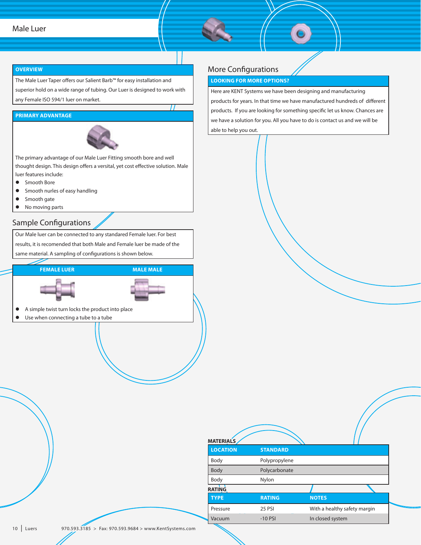#### Male Luer

#### **OVERVIEW**

The Male Luer Taper offers our Salient Barb™ for easy installation and superior hold on a wide range of tubing. Our Luer is designed to work with

any Female ISO 594/1 luer on market.

### **PRIMARY ADVANTAGE**



The primary advantage of our Male Luer Fitting smooth bore and well thought design. This design offers a versital, yet cost effective solution. Male luer features include:

- **•** Smooth Bore
- $\bullet$  Smooth nurles of easy handling
- **•** Smooth gate
- No moving parts

## Sample Configurations

Our Male luer can be connected to any standared Female luer. For best results, it is recomended that both Male and Female luer be made of the same material. A sampling of configurations is shown below.



## More Configurations

#### **LOOKING FOR MORE OPTIONS?**

Here are KENT Systems we have been designing and manufacturing products for years. In that time we have manufactured hundreds of different products. If you are looking for something specific let us know. Chances are we have a solution for you. All you have to do is contact us and we will be able to help you out.

| <b>MATERIALS</b> |                 |                              |  |
|------------------|-----------------|------------------------------|--|
| <b>LOCATION</b>  | <b>STANDARD</b> |                              |  |
| Body             | Polypropylene   |                              |  |
| Body             | Polycarbonate   |                              |  |
| Body             | Nylon           |                              |  |
| RATING           |                 |                              |  |
| <b>TYPE</b>      | <b>RATING</b>   | <b>NOTES</b>                 |  |
| Pressure         | <b>25 PSI</b>   | With a healthy safety margin |  |
| Vacuum           | $-10$ PSI       | In closed system             |  |